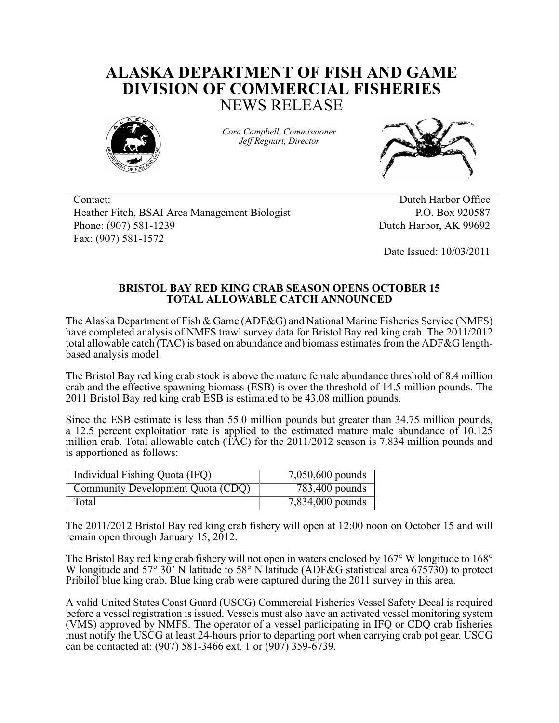## **ALASKA DEPARTMENT OF FISH AND GAME DIVISION OF COMMERCIAL FISHERIES** NEWS RELEASE



*Cora Campbell, Commissioner Jeff Regnart, Director*



Contact: Dutch Harbor Office Heather Fitch, BSAI Area Management Biologist P.O. Box 920587 Phone: (907) 581-1239 Dutch Harbor, AK 99692 Fax: (907) 581-1572

Date Issued: 10/03/2011

## **BRISTOL BAY RED KING CRAB SEASON OPENS OCTOBER 15 TOTAL ALLOWABLE CATCH ANNOUNCED**

The Alaska Department of Fish & Game (ADF&G) and National Marine Fisheries Service (NMFS) have completed analysis of NMFS trawl survey data for Bristol Bay red king crab. The 2011/2012 total allowable catch (TAC) is based on abundance and biomass estimates from the ADF&G lengthbased analysis model.

The Bristol Bay red king crab stock is above the mature female abundance threshold of 8.4 million crab and the effective spawning biomass (ESB) is over the threshold of 14.5 million pounds. The 2011 Bristol Bay red king crab ESB is estimated to be 43.08 million pounds.

Since the ESB estimate is less than 55.0 million pounds but greater than 34.75 million pounds, a 12.5 percent exploitation rate is applied to the estimated mature male abundance of 10.125 million crab. Total allowable catch (TAC) for the 2011/2012 season is 7.834 million pounds and is apportioned as follows:

| Individual Fishing Quota (IFQ)    | 7,050,600 pounds   |
|-----------------------------------|--------------------|
| Community Development Quota (CDQ) | 783,400 pounds     |
| Total                             | $7,834,000$ pounds |

The 2011/2012 Bristol Bay red king crab fishery will open at 12:00 noon on October 15 and will remain open through January 15, 2012.

The Bristol Bay red king crab fishery will not open in waters enclosed by 167° W longitude to 168° W longitude and  $57^{\circ}$   $30^{\circ}$  N latitude to  $58^{\circ}$  N latitude (ADF&G statistical area 675730) to protect Pribilof blue king crab. Blue king crab were captured during the 2011 survey in this area.

A valid United States Coast Guard (USCG) Commercial Fisheries Vessel Safety Decal is required before a vessel registration is issued. Vessels must also have an activated vessel monitoring system (VMS) approved by NMFS. The operator of a vessel participating in IFQ or CDQ crab fisheries must notify the USCG at least 24-hours prior to departing port when carrying crab pot gear. USCG can be contacted at: (907) 581-3466 ext. 1 or (907) 359-6739.